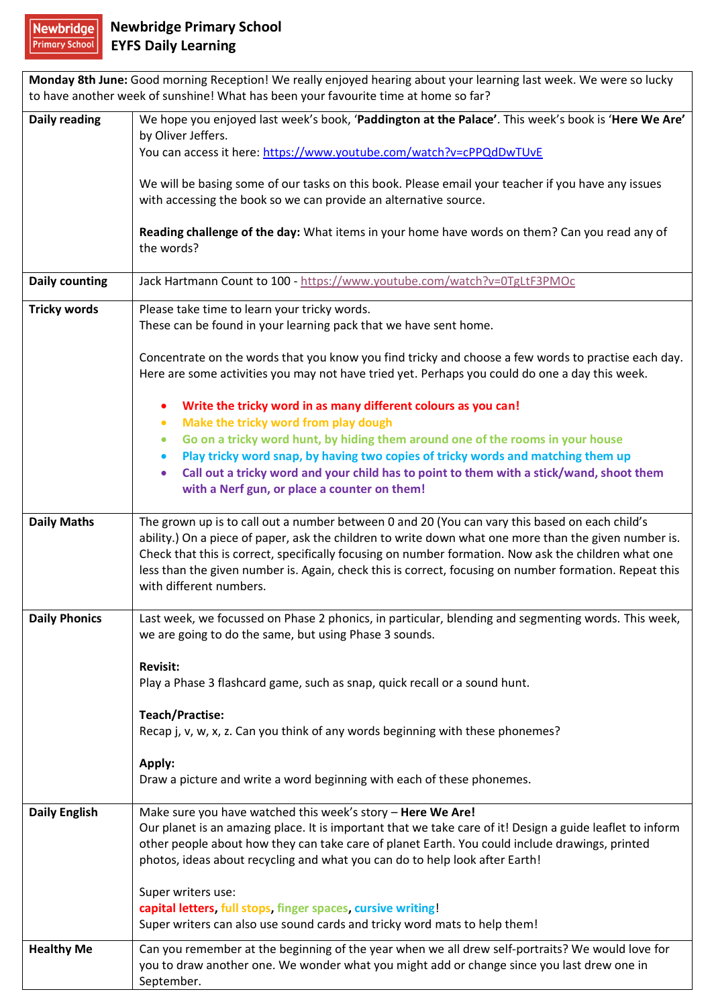Newbridge

| Monday 8th June: Good morning Reception! We really enjoyed hearing about your learning last week. We were so lucky<br>to have another week of sunshine! What has been your favourite time at home so far? |                                                                                                                                                                                                                                                                                                                                                                                                                                                      |
|-----------------------------------------------------------------------------------------------------------------------------------------------------------------------------------------------------------|------------------------------------------------------------------------------------------------------------------------------------------------------------------------------------------------------------------------------------------------------------------------------------------------------------------------------------------------------------------------------------------------------------------------------------------------------|
| Daily reading                                                                                                                                                                                             | We hope you enjoyed last week's book, 'Paddington at the Palace'. This week's book is 'Here We Are'<br>by Oliver Jeffers.<br>You can access it here: https://www.youtube.com/watch?v=cPPQdDwTUvE                                                                                                                                                                                                                                                     |
|                                                                                                                                                                                                           | We will be basing some of our tasks on this book. Please email your teacher if you have any issues<br>with accessing the book so we can provide an alternative source.                                                                                                                                                                                                                                                                               |
|                                                                                                                                                                                                           | Reading challenge of the day: What items in your home have words on them? Can you read any of<br>the words?                                                                                                                                                                                                                                                                                                                                          |
| <b>Daily counting</b>                                                                                                                                                                                     | Jack Hartmann Count to 100 - https://www.youtube.com/watch?v=0TgLtF3PMOc                                                                                                                                                                                                                                                                                                                                                                             |
| <b>Tricky words</b>                                                                                                                                                                                       | Please take time to learn your tricky words.<br>These can be found in your learning pack that we have sent home.                                                                                                                                                                                                                                                                                                                                     |
|                                                                                                                                                                                                           | Concentrate on the words that you know you find tricky and choose a few words to practise each day.<br>Here are some activities you may not have tried yet. Perhaps you could do one a day this week.                                                                                                                                                                                                                                                |
|                                                                                                                                                                                                           | Write the tricky word in as many different colours as you can!                                                                                                                                                                                                                                                                                                                                                                                       |
|                                                                                                                                                                                                           | Make the tricky word from play dough<br>$\bullet$<br>Go on a tricky word hunt, by hiding them around one of the rooms in your house<br>$\bullet$                                                                                                                                                                                                                                                                                                     |
|                                                                                                                                                                                                           | Play tricky word snap, by having two copies of tricky words and matching them up<br>$\bullet$                                                                                                                                                                                                                                                                                                                                                        |
|                                                                                                                                                                                                           | Call out a tricky word and your child has to point to them with a stick/wand, shoot them<br>$\bullet$<br>with a Nerf gun, or place a counter on them!                                                                                                                                                                                                                                                                                                |
| <b>Daily Maths</b>                                                                                                                                                                                        | The grown up is to call out a number between 0 and 20 (You can vary this based on each child's<br>ability.) On a piece of paper, ask the children to write down what one more than the given number is.<br>Check that this is correct, specifically focusing on number formation. Now ask the children what one<br>less than the given number is. Again, check this is correct, focusing on number formation. Repeat this<br>with different numbers. |
| <b>Daily Phonics</b>                                                                                                                                                                                      | Last week, we focussed on Phase 2 phonics, in particular, blending and segmenting words. This week,<br>we are going to do the same, but using Phase 3 sounds.                                                                                                                                                                                                                                                                                        |
|                                                                                                                                                                                                           | <b>Revisit:</b><br>Play a Phase 3 flashcard game, such as snap, quick recall or a sound hunt.                                                                                                                                                                                                                                                                                                                                                        |
|                                                                                                                                                                                                           | Teach/Practise:<br>Recap j, v, w, x, z. Can you think of any words beginning with these phonemes?                                                                                                                                                                                                                                                                                                                                                    |
|                                                                                                                                                                                                           | Apply:<br>Draw a picture and write a word beginning with each of these phonemes.                                                                                                                                                                                                                                                                                                                                                                     |
| <b>Daily English</b>                                                                                                                                                                                      | Make sure you have watched this week's story - Here We Are!<br>Our planet is an amazing place. It is important that we take care of it! Design a guide leaflet to inform<br>other people about how they can take care of planet Earth. You could include drawings, printed<br>photos, ideas about recycling and what you can do to help look after Earth!                                                                                            |
|                                                                                                                                                                                                           | Super writers use:<br>capital letters, full stops, finger spaces, cursive writing!<br>Super writers can also use sound cards and tricky word mats to help them!                                                                                                                                                                                                                                                                                      |
| <b>Healthy Me</b>                                                                                                                                                                                         | Can you remember at the beginning of the year when we all drew self-portraits? We would love for<br>you to draw another one. We wonder what you might add or change since you last drew one in<br>September.                                                                                                                                                                                                                                         |